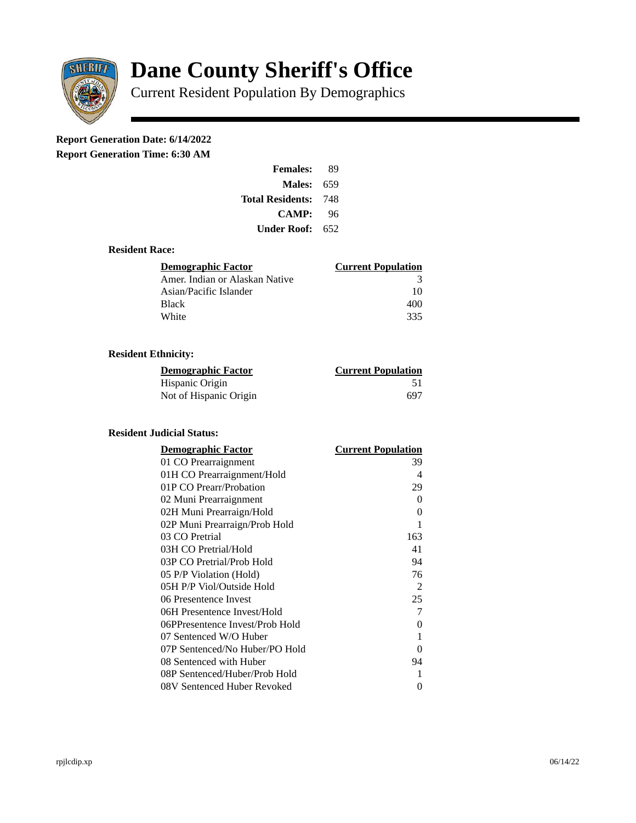

# **Dane County Sheriff's Office**

Current Resident Population By Demographics

# **Report Generation Date: 6/14/2022**

**Report Generation Time: 6:30 AM** 

| <b>Females:</b>         | 89  |
|-------------------------|-----|
| Males:                  | 659 |
| <b>Total Residents:</b> | 748 |
| <b>CAMP:</b>            | 96  |
| Under Roof: \           | 652 |

### **Resident Race:**

| Demographic Factor             | <b>Current Population</b> |
|--------------------------------|---------------------------|
| Amer. Indian or Alaskan Native | З                         |
| Asian/Pacific Islander         | 10                        |
| Black                          | 400                       |
| White                          | 335                       |

# **Resident Ethnicity:**

| <u> Demographic Factor</u> | <b>Current Population</b> |
|----------------------------|---------------------------|
| Hispanic Origin            | 51                        |
| Not of Hispanic Origin     | 697                       |

# **Resident Judicial Status:**

| <b>Demographic Factor</b>       | <b>Current Population</b> |
|---------------------------------|---------------------------|
| 01 CO Prearraignment            | 39                        |
| 01H CO Prearraignment/Hold      | 4                         |
| 01P CO Prearr/Probation         | 29                        |
| 02 Muni Prearraignment          | 0                         |
| 02H Muni Prearraign/Hold        | 0                         |
| 02P Muni Prearraign/Prob Hold   | 1                         |
| 03 CO Pretrial                  | 163                       |
| 03H CO Pretrial/Hold            | 41                        |
| 03P CO Pretrial/Prob Hold       | 94                        |
| 05 P/P Violation (Hold)         | 76                        |
| 05H P/P Viol/Outside Hold       | 2                         |
| 06 Presentence Invest           | 25                        |
| 06H Presentence Invest/Hold     | 7                         |
| 06PPresentence Invest/Prob Hold | 0                         |
| 07 Sentenced W/O Huber          | 1                         |
| 07P Sentenced/No Huber/PO Hold  | 0                         |
| 08 Sentenced with Huber         | 94                        |
| 08P Sentenced/Huber/Prob Hold   | 1                         |
| 08V Sentenced Huber Revoked     | 0                         |